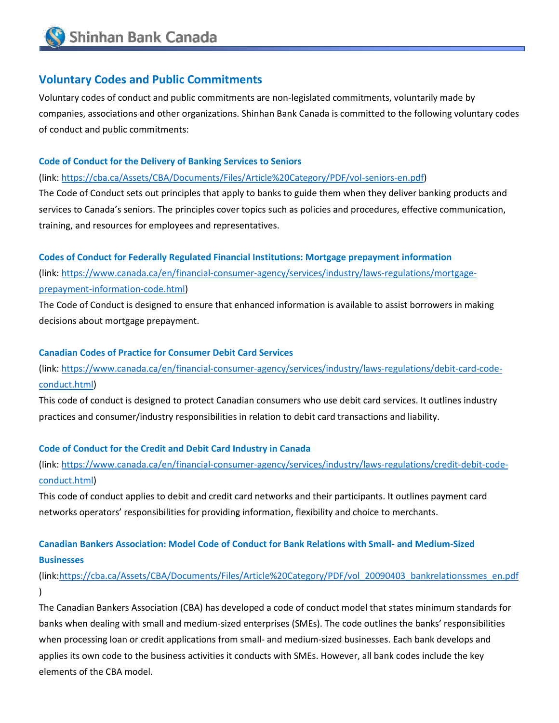# **Voluntary Codes and Public Commitments**

Voluntary codes of conduct and public commitments are non-legislated commitments, voluntarily made by companies, associations and other organizations. Shinhan Bank Canada is committed to the following voluntary codes of conduct and public commitments:

## **Code of Conduct for the Delivery of Banking Services to Seniors**

(link: [https://cba.ca/Assets/CBA/Documents/Files/Article%20Category/PDF/vol-seniors-en.pdf\)](https://cba.ca/Assets/CBA/Documents/Files/Article%20Category/PDF/vol-seniors-en.pdf)

The Code of Conduct sets out principles that apply to banks to guide them when they deliver banking products and services to Canada's seniors. The principles cover topics such as policies and procedures, effective communication, training, and resources for employees and representatives.

#### **Codes of Conduct for Federally Regulated Financial Institutions: Mortgage prepayment information**

(link: [https://www.canada.ca/en/financial-consumer-agency/services/industry/laws-regulations/mortgage](https://www.canada.ca/en/financial-consumer-agency/services/industry/laws-regulations/mortgage-prepayment-information-code.html)[prepayment-information-code.html\)](https://www.canada.ca/en/financial-consumer-agency/services/industry/laws-regulations/mortgage-prepayment-information-code.html)

The Code of Conduct is designed to ensure that enhanced information is available to assist borrowers in making decisions about mortgage prepayment.

### **Canadian Codes of Practice for Consumer Debit Card Services**

(link: [https://www.canada.ca/en/financial-consumer-agency/services/industry/laws-regulations/debit-card-code](https://www.canada.ca/en/financial-consumer-agency/services/industry/laws-regulations/debit-card-code-conduct.html)[conduct.html\)](https://www.canada.ca/en/financial-consumer-agency/services/industry/laws-regulations/debit-card-code-conduct.html)

This code of conduct is designed to protect Canadian consumers who use debit card services. It outlines industry practices and consumer/industry responsibilities in relation to debit card transactions and liability.

## **Code of Conduct for the Credit and Debit Card Industry in Canada**

(link: [https://www.canada.ca/en/financial-consumer-agency/services/industry/laws-regulations/credit-debit-code](https://www.canada.ca/en/financial-consumer-agency/services/industry/laws-regulations/credit-debit-code-conduct.html)[conduct.html\)](https://www.canada.ca/en/financial-consumer-agency/services/industry/laws-regulations/credit-debit-code-conduct.html)

This code of conduct applies to debit and credit card networks and their participants. It outlines payment card networks operators' responsibilities for providing information, flexibility and choice to merchants.

# **Canadian Bankers Association: Model Code of Conduct for Bank Relations with Small- and Medium-Sized Businesses**

# (link[:https://cba.ca/Assets/CBA/Documents/Files/Article%20Category/PDF/vol\\_20090403\\_bankrelationssmes\\_en.pdf](https://cba.ca/Assets/CBA/Documents/Files/Article%20Category/PDF/vol_20090403_bankrelationssmes_en.pdf) )

The Canadian Bankers Association (CBA) has developed a code of conduct model that states minimum standards for banks when dealing with small and medium-sized enterprises (SMEs). The code outlines the banks' responsibilities when processing loan or credit applications from small- and medium-sized businesses. Each bank develops and applies its own code to the business activities it conducts with SMEs. However, all bank codes include the key elements of the CBA model.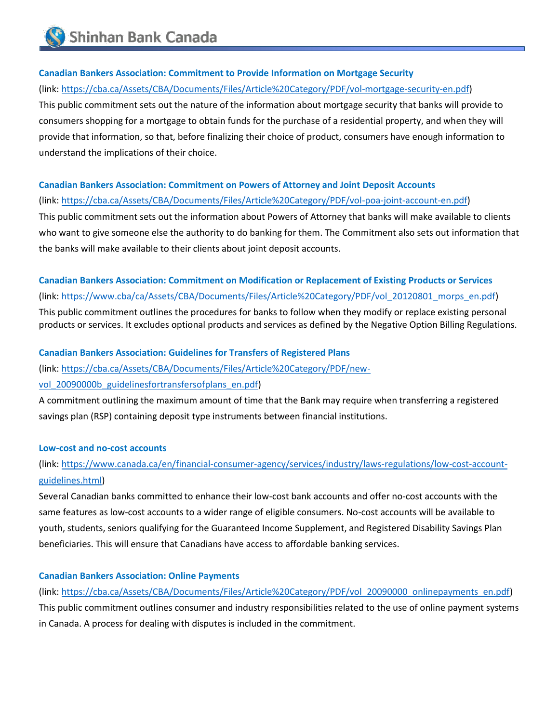#### **Canadian Bankers Association: Commitment to Provide Information on Mortgage Security**

#### (link: [https://cba.ca/Assets/CBA/Documents/Files/Article%20Category/PDF/vol-mortgage-security-en.pdf\)](https://cba.ca/Assets/CBA/Documents/Files/Article%20Category/PDF/vol-mortgage-security-en.pdf)

This public commitment sets out the nature of the information about mortgage security that banks will provide to consumers shopping for a mortgage to obtain funds for the purchase of a residential property, and when they will provide that information, so that, before finalizing their choice of product, consumers have enough information to understand the implications of their choice.

#### **Canadian Bankers Association: Commitment on Powers of Attorney and Joint Deposit Accounts**

#### (link: [https://cba.ca/Assets/CBA/Documents/Files/Article%20Category/PDF/vol-poa-joint-account-en.pdf\)](https://cba.ca/Assets/CBA/Documents/Files/Article%20Category/PDF/vol-poa-joint-account-en.pdf)

This public commitment sets out the information about Powers of Attorney that banks will make available to clients who want to give someone else the authority to do banking for them. The Commitment also sets out information that the banks will make available to their clients about joint deposit accounts.

# **Canadian Bankers Association: Commitment on Modification or Replacement of Existing Products or Services** (link: [https://www.cba/ca/Assets/CBA/Documents/Files/Article%20Category/PDF/vol\\_20120801\\_morps\\_en.pdf\)](https://www.cba/ca/Assets/CBA/Documents/Files/Article%20Category/PDF/vol_20120801_morps_en.pdf) This public commitment outlines the procedures for banks to follow when they modify or replace existing personal products or services. It excludes optional products and services as defined by the Negative Option Billing Regulations.

#### **Canadian Bankers Association: Guidelines for Transfers of Registered Plans**

(link: [https://cba.ca/Assets/CBA/Documents/Files/Article%20Category/PDF/new](https://cba.ca/Assets/CBA/Documents/Files/Article%20Category/PDF/new-vol_20090000b_guidelinesfortransfersofplans_en.pdf)vol 20090000b guidelinesfortransfersofplans en.pdf)

A commitment outlining the maximum amount of time that the Bank may require when transferring a registered savings plan (RSP) containing deposit type instruments between financial institutions.

#### **Low-cost and no-cost accounts**

# (link: [https://www.canada.ca/en/financial-consumer-agency/services/industry/laws-regulations/low-cost-account](https://www.canada.ca/en/financial-consumer-agency/services/industry/laws-regulations/low-cost-account-guidelines.html)[guidelines.html\)](https://www.canada.ca/en/financial-consumer-agency/services/industry/laws-regulations/low-cost-account-guidelines.html)

Several Canadian banks committed to enhance their low-cost bank accounts and offer no-cost accounts with the same features as low-cost accounts to a wider range of eligible consumers. No-cost accounts will be available to youth, students, seniors qualifying for the Guaranteed Income Supplement, and Registered Disability Savings Plan beneficiaries. This will ensure that Canadians have access to affordable banking services.

#### **Canadian Bankers Association: Online Payments**

(link: [https://cba.ca/Assets/CBA/Documents/Files/Article%20Category/PDF/vol\\_20090000\\_onlinepayments\\_en.pdf\)](https://cba.ca/Assets/CBA/Documents/Files/Article%20Category/PDF/vol_20090000_onlinepayments_en.pdf) This public commitment outlines consumer and industry responsibilities related to the use of online payment systems in Canada. A process for dealing with disputes is included in the commitment.